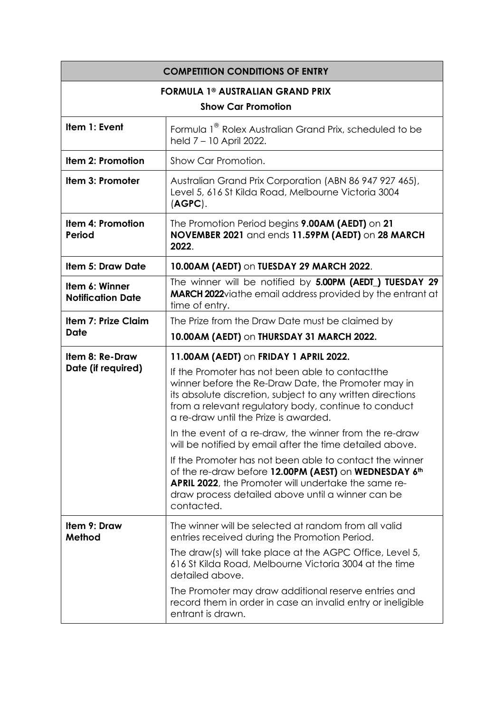| <b>COMPETITION CONDITIONS OF ENTRY</b>             |                                                                                                                                                                                                                                                                        |
|----------------------------------------------------|------------------------------------------------------------------------------------------------------------------------------------------------------------------------------------------------------------------------------------------------------------------------|
| <b>FORMULA 1<sup>®</sup> AUSTRALIAN GRAND PRIX</b> |                                                                                                                                                                                                                                                                        |
| <b>Show Car Promotion</b>                          |                                                                                                                                                                                                                                                                        |
| Item 1: Event                                      | Formula 1 <sup>®</sup> Rolex Australian Grand Prix, scheduled to be<br>held 7 - 10 April 2022.                                                                                                                                                                         |
| Item 2: Promotion                                  | Show Car Promotion.                                                                                                                                                                                                                                                    |
| Item 3: Promoter                                   | Australian Grand Prix Corporation (ABN 86 947 927 465),<br>Level 5, 616 St Kilda Road, Melbourne Victoria 3004<br>(AGPC).                                                                                                                                              |
| <b>Item 4: Promotion</b><br><b>Period</b>          | The Promotion Period begins 9.00AM (AEDT) on 21<br>NOVEMBER 2021 and ends 11.59PM (AEDT) on 28 MARCH<br>2022.                                                                                                                                                          |
| <b>Item 5: Draw Date</b>                           | 10.00AM (AEDT) on TUESDAY 29 MARCH 2022.                                                                                                                                                                                                                               |
| Item 6: Winner<br><b>Notification Date</b>         | The winner will be notified by 5.00PM (AEDT_) TUESDAY 29<br><b>MARCH 2022</b> via the email address provided by the entrant at<br>time of entry.                                                                                                                       |
| <b>Item 7: Prize Claim</b><br><b>Date</b>          | The Prize from the Draw Date must be claimed by                                                                                                                                                                                                                        |
|                                                    | 10.00AM (AEDT) on THURSDAY 31 MARCH 2022.                                                                                                                                                                                                                              |
| Item 8: Re-Draw<br>Date (if required)              | 11.00AM (AEDT) on FRIDAY 1 APRIL 2022.                                                                                                                                                                                                                                 |
|                                                    | If the Promoter has not been able to contact the<br>winner before the Re-Draw Date, the Promoter may in<br>its absolute discretion, subject to any written directions<br>from a relevant regulatory body, continue to conduct<br>a re-draw until the Prize is awarded. |
|                                                    | In the event of a re-draw, the winner from the re-draw<br>will be notified by email after the time detailed above.                                                                                                                                                     |
|                                                    | If the Promoter has not been able to contact the winner<br>of the re-draw before 12.00PM (AEST) on WEDNESDAY 6th<br><b>APRIL 2022</b> , the Promoter will undertake the same re-<br>draw process detailed above until a winner can be<br>contacted.                    |
| Item 9: Draw<br>Method                             | The winner will be selected at random from all valid<br>entries received during the Promotion Period.                                                                                                                                                                  |
|                                                    | The draw(s) will take place at the AGPC Office, Level 5,<br>616 St Kilda Road, Melbourne Victoria 3004 at the time<br>detailed above.                                                                                                                                  |
|                                                    | The Promoter may draw additional reserve entries and<br>record them in order in case an invalid entry or ineligible<br>entrant is drawn.                                                                                                                               |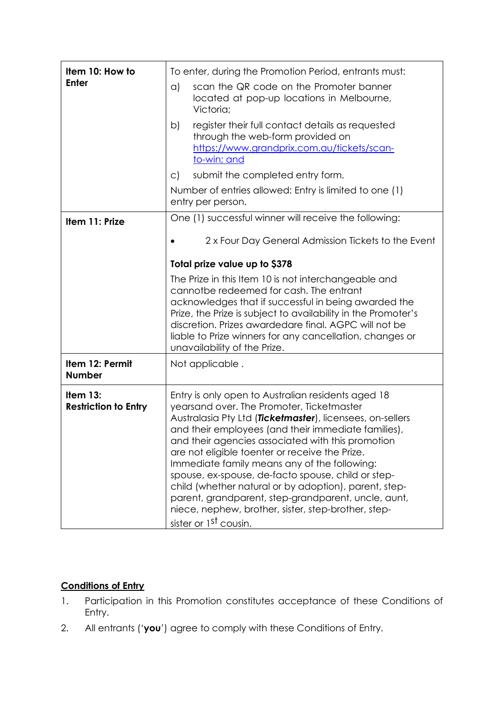| Item 10: How to<br><b>Enter</b>         | To enter, during the Promotion Period, entrants must:                                                                                                                                                                                                                                                                                                                                                                                                                                                                                                                                                                                        |
|-----------------------------------------|----------------------------------------------------------------------------------------------------------------------------------------------------------------------------------------------------------------------------------------------------------------------------------------------------------------------------------------------------------------------------------------------------------------------------------------------------------------------------------------------------------------------------------------------------------------------------------------------------------------------------------------------|
|                                         | scan the QR code on the Promoter banner<br>a)<br>located at pop-up locations in Melbourne,<br>Victoria;                                                                                                                                                                                                                                                                                                                                                                                                                                                                                                                                      |
|                                         | register their full contact details as requested<br>b)<br>through the web-form provided on<br>https://www.grandprix.com.au/tickets/scan-<br>to-win; and                                                                                                                                                                                                                                                                                                                                                                                                                                                                                      |
|                                         | submit the completed entry form.<br>$\mathsf{C}$                                                                                                                                                                                                                                                                                                                                                                                                                                                                                                                                                                                             |
|                                         | Number of entries allowed: Entry is limited to one (1)<br>entry per person.                                                                                                                                                                                                                                                                                                                                                                                                                                                                                                                                                                  |
| Item 11: Prize                          | One (1) successful winner will receive the following:                                                                                                                                                                                                                                                                                                                                                                                                                                                                                                                                                                                        |
|                                         | 2 x Four Day General Admission Tickets to the Event                                                                                                                                                                                                                                                                                                                                                                                                                                                                                                                                                                                          |
|                                         | Total prize value up to \$378                                                                                                                                                                                                                                                                                                                                                                                                                                                                                                                                                                                                                |
|                                         | The Prize in this Item 10 is not interchangeable and<br>cannotbe redeemed for cash. The entrant<br>acknowledges that if successful in being awarded the<br>Prize, the Prize is subject to availability in the Promoter's<br>discretion. Prizes awardedare final. AGPC will not be<br>liable to Prize winners for any cancellation, changes or<br>unavailability of the Prize.                                                                                                                                                                                                                                                                |
| Item 12: Permit<br><b>Number</b>        | Not applicable.                                                                                                                                                                                                                                                                                                                                                                                                                                                                                                                                                                                                                              |
| Item 13:<br><b>Restriction to Entry</b> | Entry is only open to Australian residents aged 18<br>yearsand over. The Promoter, Ticketmaster<br>Australasia Pty Ltd (Ticketmaster), licensees, on-sellers<br>and their employees (and their immediate families),<br>and their agencies associated with this promotion<br>are not eligible toenter or receive the Prize.<br>Immediate family means any of the following:<br>spouse, ex-spouse, de-facto spouse, child or step-<br>child (whether natural or by adoption), parent, step-<br>parent, grandparent, step-grandparent, uncle, aunt,<br>niece, nephew, brother, sister, step-brother, step-<br>sister or 1 <sup>st</sup> cousin. |

## **Conditions of Entry**

- 1. Participation in this Promotion constitutes acceptance of these Conditions of Entry.
- 2. All entrants ('**you**') agree to comply with these Conditions of Entry.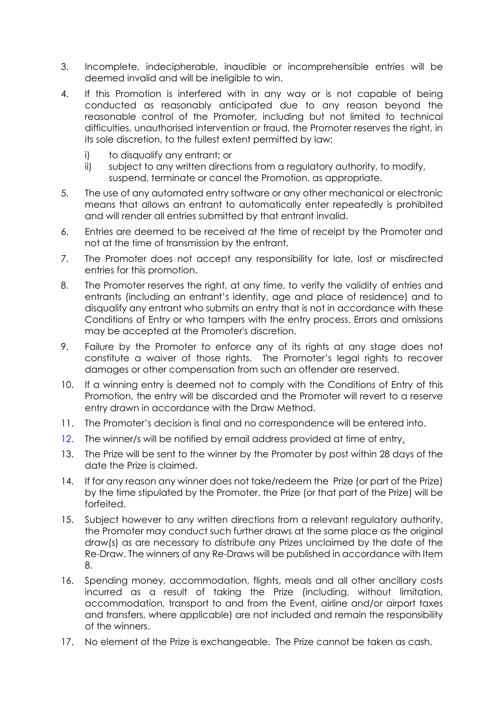- 3. Incomplete, indecipherable, inaudible or incomprehensible entries will be deemed invalid and will be ineligible to win.
- 4. If this Promotion is interfered with in any way or is not capable of being conducted as reasonably anticipated due to any reason beyond the reasonable control of the Promoter, including but not limited to technical difficulties, unauthorised intervention or fraud, the Promoter reserves the right, in its sole discretion, to the fullest extent permitted by law:
	- i) to disqualify any entrant; or
	- ii) subject to any written directions from a regulatory authority, to modify, suspend, terminate or cancel the Promotion, as appropriate.
- 5. The use of any automated entry software or any other mechanical or electronic means that allows an entrant to automatically enter repeatedly is prohibited and will render all entries submitted by that entrant invalid.
- 6. Entries are deemed to be received at the time of receipt by the Promoter and not at the time of transmission by the entrant.
- 7. The Promoter does not accept any responsibility for late, lost or misdirected entries for this promotion.
- 8. The Promoter reserves the right, at any time, to verify the validity of entries and entrants (including an entrant's identity, age and place of residence) and to disqualify any entrant who submits an entry that is not in accordance with these Conditions of Entry or who tampers with the entry process. Errors and omissions may be accepted at the Promoter's discretion.
- 9. Failure by the Promoter to enforce any of its rights at any stage does not constitute a waiver of those rights. The Promoter's legal rights to recover damages or other compensation from such an offender are reserved.
- 10. If a winning entry is deemed not to comply with the Conditions of Entry of this Promotion, the entry will be discarded and the Promoter will revert to a reserve entry drawn in accordance with the Draw Method.
- 11. The Promoter's decision is final and no correspondence will be entered into.
- 12. The winner/s will be notified by email address provided at time of entry.
- 13. The Prize will be sent to the winner by the Promoter by post within 28 days of the date the Prize is claimed.
- 14. If for any reason any winner does not take/redeem the Prize (or part of the Prize) by the time stipulated by the Promoter, the Prize (or that part of the Prize) will be forfeited.
- 15. Subject however to any written directions from a relevant regulatory authority, the Promoter may conduct such further draws at the same place as the original draw(s) as are necessary to distribute any Prizes unclaimed by the date of the Re-Draw. The winners of any Re-Draws will be published in accordance with Item 8.
- 16. Spending money, accommodation, flights, meals and all other ancillary costs incurred as a result of taking the Prize (including, without limitation, accommodation, transport to and from the Event, airline and/or airport taxes and transfers, where applicable) are not included and remain the responsibility of the winners.
- 17. No element of the Prize is exchangeable. The Prize cannot be taken as cash.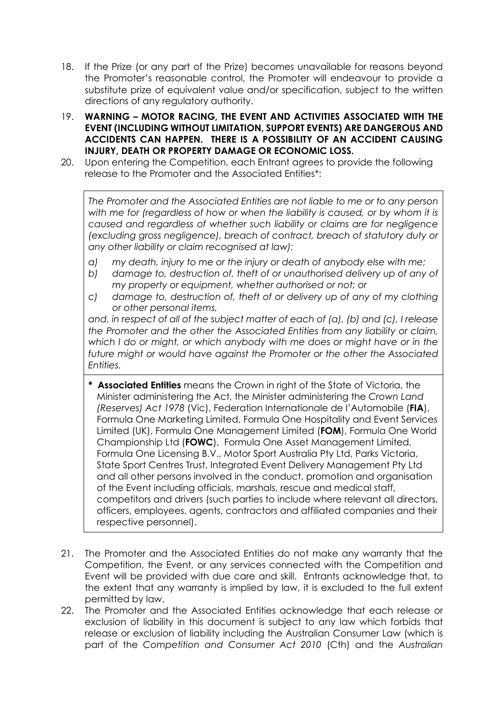- 18. If the Prize (or any part of the Prize) becomes unavailable for reasons beyond the Promoter's reasonable control, the Promoter will endeavour to provide a substitute prize of equivalent value and/or specification, subject to the written directions of any regulatory authority.
- 19. **WARNING – MOTOR RACING, THE EVENT AND ACTIVITIES ASSOCIATED WITH THE EVENT (INCLUDING WITHOUT LIMITATION, SUPPORT EVENTS) ARE DANGEROUS AND ACCIDENTS CAN HAPPEN. THERE IS A POSSIBILITY OF AN ACCIDENT CAUSING INJURY, DEATH OR PROPERTY DAMAGE OR ECONOMIC LOSS.**
- 20. Upon entering the Competition, each Entrant agrees to provide the following release to the Promoter and the Associated Entities\*:

*The Promoter and the Associated Entities are not liable to me or to any person with me for (regardless of how or when the liability is caused, or by whom it is caused and regardless of whether such liability or claims are for negligence (excluding gross negligence), breach of contract, breach of statutory duty or any other liability or claim recognised at law):* 

- *a) my death, injury to me or the injury or death of anybody else with me;*
- *b) damage to, destruction of, theft of or unauthorised delivery up of any of my property or equipment, whether authorised or not; or*
- *c) damage to, destruction of, theft of or delivery up of any of my clothing or other personal items,*

*and, in respect of all of the subject matter of each of (a), (b) and (c), I release the Promoter and the other the Associated Entities from any liability or claim, which I do or might, or which anybody with me does or might have or in the future might or would have against the Promoter or the other the Associated Entities.* 

- **\* Associated Entities** means the Crown in right of the State of Victoria, the Minister administering the Act, the Minister administering the *Crown Land (Reserves) Act 1978* (Vic), Federation Internationale de l'Automobile (**FIA**), Formula One Marketing Limited, Formula One Hospitality and Event Services Limited (UK), Formula One Management Limited (**FOM**), Formula One World Championship Ltd (**FOWC**), Formula One Asset Management Limited, Formula One Licensing B.V., Motor Sport Australia Pty Ltd, Parks Victoria, State Sport Centres Trust, Integrated Event Delivery Management Pty Ltd and all other persons involved in the conduct, promotion and organisation of the Event including officials, marshals, rescue and medical staff, competitors and drivers (such parties to include where relevant all directors, officers, employees, agents, contractors and affiliated companies and their respective personnel).
- 21. The Promoter and the Associated Entities do not make any warranty that the Competition, the Event, or any services connected with the Competition and Event will be provided with due care and skill. Entrants acknowledge that, to the extent that any warranty is implied by law, it is excluded to the full extent permitted by law.
- 22. The Promoter and the Associated Entities acknowledge that each release or exclusion of liability in this document is subject to any law which forbids that release or exclusion of liability including the Australian Consumer Law (which is part of the *Competition and Consumer Act 2010* (Cth) and the *Australian*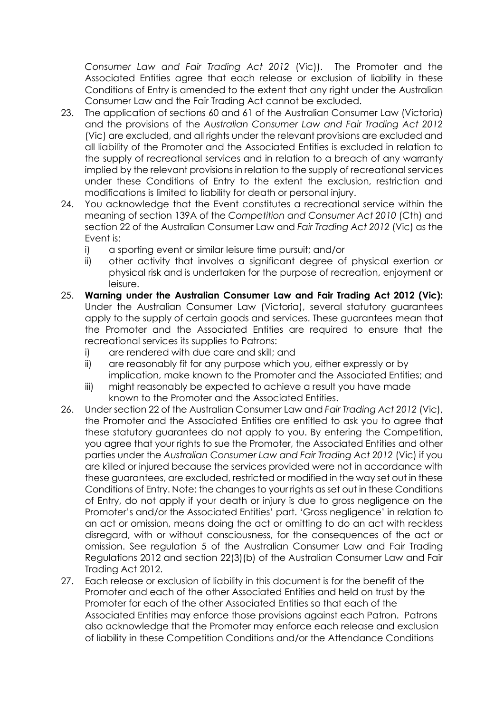*Consumer Law and Fair Trading Act 2012* (Vic)). The Promoter and the Associated Entities agree that each release or exclusion of liability in these Conditions of Entry is amended to the extent that any right under the Australian Consumer Law and the Fair Trading Act cannot be excluded.

- 23. The application of sections 60 and 61 of the Australian Consumer Law (Victoria) and the provisions of the *Australian Consumer Law and Fair Trading Act 2012* (Vic) are excluded, and all rights under the relevant provisions are excluded and all liability of the Promoter and the Associated Entities is excluded in relation to the supply of recreational services and in relation to a breach of any warranty implied by the relevant provisions in relation to the supply of recreational services under these Conditions of Entry to the extent the exclusion, restriction and modifications is limited to liability for death or personal injury.
- 24. You acknowledge that the Event constitutes a recreational service within the meaning of section 139A of the *Competition and Consumer Act 2010* (Cth) and section 22 of the Australian Consumer Law and *Fair Trading Act 2012* (Vic) as the Event is:
	- i) a sporting event or similar leisure time pursuit; and/or
	- ii) other activity that involves a significant degree of physical exertion or physical risk and is undertaken for the purpose of recreation, enjoyment or leisure.
- 25. **Warning under the Australian Consumer Law and Fair Trading Act 2012 (Vic):** Under the Australian Consumer Law (Victoria), several statutory guarantees apply to the supply of certain goods and services. These guarantees mean that the Promoter and the Associated Entities are required to ensure that the recreational services its supplies to Patrons:
	- i) are rendered with due care and skill; and
	- ii) are reasonably fit for any purpose which you, either expressly or by implication, make known to the Promoter and the Associated Entities; and
	- iii) might reasonably be expected to achieve a result you have made known to the Promoter and the Associated Entities.
- 26. Under section 22 of the Australian Consumer Law and *Fair Trading Act 2012* (Vic), the Promoter and the Associated Entities are entitled to ask you to agree that these statutory guarantees do not apply to you. By entering the Competition, you agree that your rights to sue the Promoter, the Associated Entities and other parties under the *Australian Consumer Law and Fair Trading Act 2012* (Vic) if you are killed or injured because the services provided were not in accordance with these guarantees, are excluded, restricted or modified in the way set out in these Conditions of Entry. Note: the changes to your rights as set out in these Conditions of Entry, do not apply if your death or injury is due to gross negligence on the Promoter's and/or the Associated Entities' part. 'Gross negligence' in relation to an act or omission, means doing the act or omitting to do an act with reckless disregard, with or without consciousness, for the consequences of the act or omission. See regulation 5 of the Australian Consumer Law and Fair Trading Regulations 2012 and section 22(3)(b) of the Australian Consumer Law and Fair Trading Act 2012.
- 27. Each release or exclusion of liability in this document is for the benefit of the Promoter and each of the other Associated Entities and held on trust by the Promoter for each of the other Associated Entities so that each of the Associated Entities may enforce those provisions against each Patron. Patrons also acknowledge that the Promoter may enforce each release and exclusion of liability in these Competition Conditions and/or the Attendance Conditions